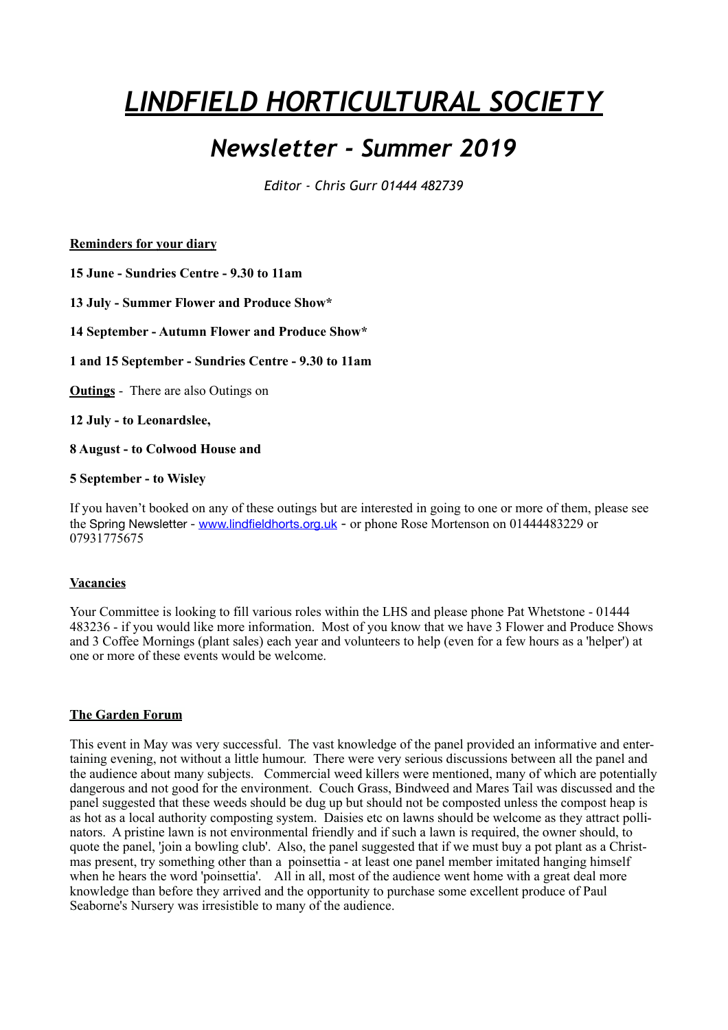# *LINDFIELD HORTICULTURAL SOCIETY*

# *Newsletter - Summer 2019*

*Editor - Chris Gurr 01444 482739* 

**Reminders for your diary** 

**15 June - Sundries Centre - 9.30 to 11am**

**13 July - Summer Flower and Produce Show\*** 

**14 September - Autumn Flower and Produce Show\*** 

**1 and 15 September - Sundries Centre - 9.30 to 11am** 

**Outings** - There are also Outings on

**12 July - to Leonardslee,** 

**8 August - to Colwood House and** 

#### **5 September - to Wisley**

If you haven't booked on any of these outings but are interested in going to one or more of them, please see the Spring Newsletter - [www.lindfieldhorts.org.uk](http://www.lindfieldhorts.org.uk/) - or phone Rose Mortenson on 01444483229 or 07931775675

### **Vacancies**

Your Committee is looking to fill various roles within the LHS and please phone Pat Whetstone - 01444 483236 - if you would like more information. Most of you know that we have 3 Flower and Produce Shows and 3 Coffee Mornings (plant sales) each year and volunteers to help (even for a few hours as a 'helper') at one or more of these events would be welcome.

#### **The Garden Forum**

This event in May was very successful. The vast knowledge of the panel provided an informative and entertaining evening, not without a little humour. There were very serious discussions between all the panel and the audience about many subjects. Commercial weed killers were mentioned, many of which are potentially dangerous and not good for the environment. Couch Grass, Bindweed and Mares Tail was discussed and the panel suggested that these weeds should be dug up but should not be composted unless the compost heap is as hot as a local authority composting system. Daisies etc on lawns should be welcome as they attract pollinators. A pristine lawn is not environmental friendly and if such a lawn is required, the owner should, to quote the panel, 'join a bowling club'. Also, the panel suggested that if we must buy a pot plant as a Christmas present, try something other than a poinsettia - at least one panel member imitated hanging himself when he hears the word 'poinsettia'. All in all, most of the audience went home with a great deal more knowledge than before they arrived and the opportunity to purchase some excellent produce of Paul Seaborne's Nursery was irresistible to many of the audience.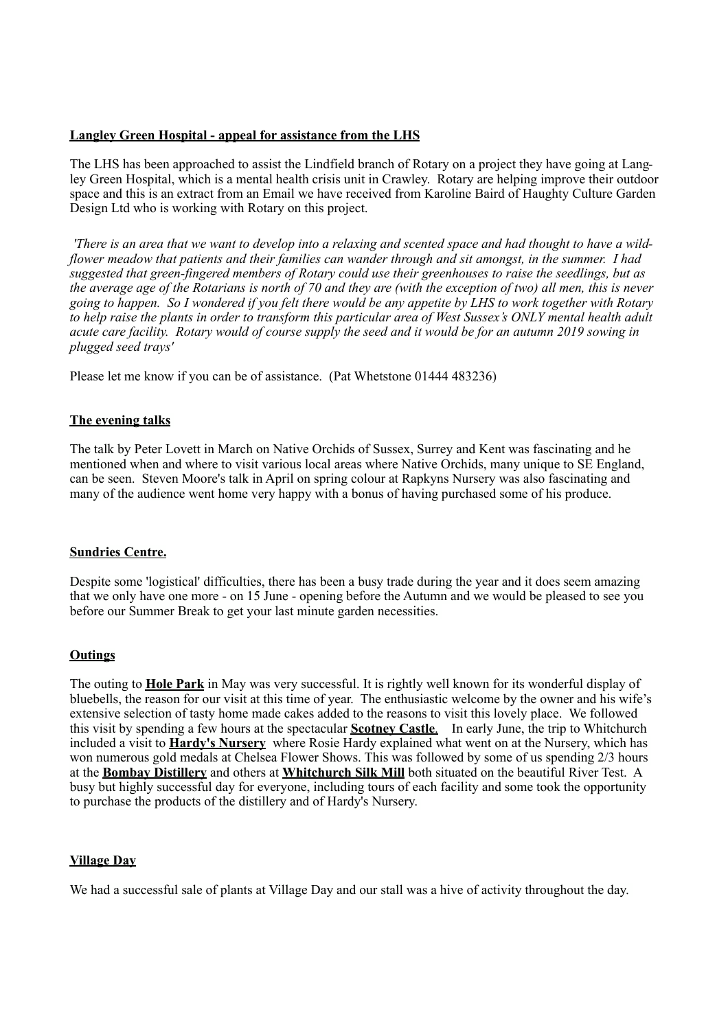#### **Langley Green Hospital - appeal for assistance from the LHS**

The LHS has been approached to assist the Lindfield branch of Rotary on a project they have going at Langley Green Hospital, which is a mental health crisis unit in Crawley. Rotary are helping improve their outdoor space and this is an extract from an Email we have received from Karoline Baird of Haughty Culture Garden Design Ltd who is working with Rotary on this project.

*'There is an area that we want to develop into a relaxing and scented space and had thought to have a wildflower meadow that patients and their families can wander through and sit amongst, in the summer. I had suggested that green-fingered members of Rotary could use their greenhouses to raise the seedlings, but as the average age of the Rotarians is north of 70 and they are (with the exception of two) all men, this is never going to happen. So I wondered if you felt there would be any appetite by LHS to work together with Rotary to help raise the plants in order to transform this particular area of West Sussex's ONLY mental health adult acute care facility. Rotary would of course supply the seed and it would be for an autumn 2019 sowing in plugged seed trays'* 

Please let me know if you can be of assistance. (Pat Whetstone 01444 483236)

#### **The evening talks**

The talk by Peter Lovett in March on Native Orchids of Sussex, Surrey and Kent was fascinating and he mentioned when and where to visit various local areas where Native Orchids, many unique to SE England, can be seen. Steven Moore's talk in April on spring colour at Rapkyns Nursery was also fascinating and many of the audience went home very happy with a bonus of having purchased some of his produce.

#### **Sundries Centre.**

Despite some 'logistical' difficulties, there has been a busy trade during the year and it does seem amazing that we only have one more - on 15 June - opening before the Autumn and we would be pleased to see you before our Summer Break to get your last minute garden necessities.

#### **Outings**

The outing to **Hole Park** in May was very successful. It is rightly well known for its wonderful display of bluebells, the reason for our visit at this time of year. The enthusiastic welcome by the owner and his wife's extensive selection of tasty home made cakes added to the reasons to visit this lovely place. We followed this visit by spending a few hours at the spectacular **Scotney Castle**. In early June, the trip to Whitchurch included a visit to **Hardy's Nursery** where Rosie Hardy explained what went on at the Nursery, which has won numerous gold medals at Chelsea Flower Shows. This was followed by some of us spending 2/3 hours at the **Bombay Distillery** and others at **Whitchurch Silk Mill** both situated on the beautiful River Test. A busy but highly successful day for everyone, including tours of each facility and some took the opportunity to purchase the products of the distillery and of Hardy's Nursery.

#### **Village Day**

We had a successful sale of plants at Village Day and our stall was a hive of activity throughout the day.